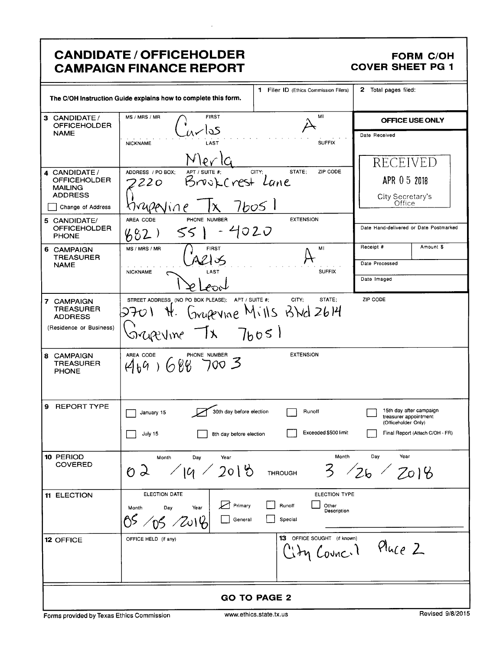|                                                                                                                                                                     | <b>CANDIDATE / OFFICEHOLDER</b><br><b>CAMPAIGN FINANCE REPORT</b>                                                                                                          |                                                                           | <b>COVER SHEET PG 1</b>                                                 | <b>FORM C/OH</b>                                         |
|---------------------------------------------------------------------------------------------------------------------------------------------------------------------|----------------------------------------------------------------------------------------------------------------------------------------------------------------------------|---------------------------------------------------------------------------|-------------------------------------------------------------------------|----------------------------------------------------------|
|                                                                                                                                                                     | The C/OH Instruction Guide explains how to complete this form.                                                                                                             | 1 Filer ID (Ethics Commission Filers)                                     | 2 Total pages filed:                                                    |                                                          |
| 3 CANDIDATE /<br><b>OFFICEHOLDER</b>                                                                                                                                | MS / MRS / MR<br><b>FIRST</b><br>کدا                                                                                                                                       | мı                                                                        |                                                                         | OFFICE USE ONLY                                          |
| <b>NAME</b><br>4 CANDIDATE /<br><b>OFFICEHOLDER</b><br><b>MAILING</b><br><b>ADDRESS</b><br>Change of Address<br>5 CANDIDATE/<br><b>OFFICEHOLDER</b><br><b>PHONE</b> | LAST<br><b>NICKNAME</b><br>ADDRESS / PO BOX:<br>APT / SUITE #:<br>Brookcrest Lane<br>220<br>rupenine<br>PHONE NUMBER<br>AREA CODE<br>4020<br>55  <br>88<br>$2\overline{ }$ | <b>SUFFIX</b><br>STATE:<br>ZIP CODE<br>CITY;<br>76051<br><b>EXTENSION</b> | Date Received<br>RECEIVED<br>APR 0 5 2018<br>City Secretary's<br>Office | Date Hand-delivered or Date Postmarked                   |
| 6 CAMPAIGN                                                                                                                                                          | <b>FIRST</b><br>MS / MRS / MR                                                                                                                                              | MI                                                                        | Receipt #                                                               | Amount \$                                                |
| <b>TREASURER</b><br><b>NAME</b>                                                                                                                                     | LAST<br><b>NICKNAME</b>                                                                                                                                                    | <b>SUFFIX</b>                                                             | Date Processed                                                          |                                                          |
|                                                                                                                                                                     |                                                                                                                                                                            |                                                                           | Date Imaged                                                             |                                                          |
| 7 CAMPAIGN<br><b>TREASURER</b><br><b>ADDRESS</b><br>(Residence or Business)                                                                                         | STREET ADDRESS (NO PO BOX PLEASE); APT / SUITE #;<br>-   X<br>sicrevine                                                                                                    | CITY;<br>STATE:<br>Grupevine Mills BNd 2614<br>7h051                      | ZIP CODE                                                                |                                                          |
| 8 CAMPAIGN<br><b>TREASURER</b><br><b>PHONE</b>                                                                                                                      | AREA CODE OF PHONE NUMBER 3                                                                                                                                                | <b>EXTENSION</b>                                                          |                                                                         |                                                          |
| 9 REPORT TYPE                                                                                                                                                       | 30th day before election<br>January 15<br>لتصر<br>July 15<br>8th day before election                                                                                       | Runoff<br>Exceeded \$500 limit                                            | 15th day after campaign<br>(Officeholder Only)                          | treasurer appointment<br>Final Report (Attach C/OH - FR) |
| 10 PERIOD<br><b>COVERED</b>                                                                                                                                         | Month<br>Day<br>Year<br>19 / 2018<br>O 2                                                                                                                                   | Month<br>3<br><b>THROUGH</b>                                              | Day<br>Year<br>126                                                      | 7018                                                     |
| 11 ELECTION                                                                                                                                                         | ELECTION DATE<br>Primary<br>Year<br>Month<br>Day<br>05/05/2014<br>General                                                                                                  | <b>ELECTION TYPE</b><br>Runoff<br>Other<br>Description<br>Special         |                                                                         |                                                          |
| 12 OFFICE                                                                                                                                                           | OFFICE HELD (if any)                                                                                                                                                       | <b>13</b> OFFICE SOUGHT (if known)<br>ity Council                         | Pluce 2                                                                 |                                                          |
| <b>GO TO PAGE 2</b>                                                                                                                                                 |                                                                                                                                                                            |                                                                           |                                                                         |                                                          |

 $\ddot{\phantom{a}}$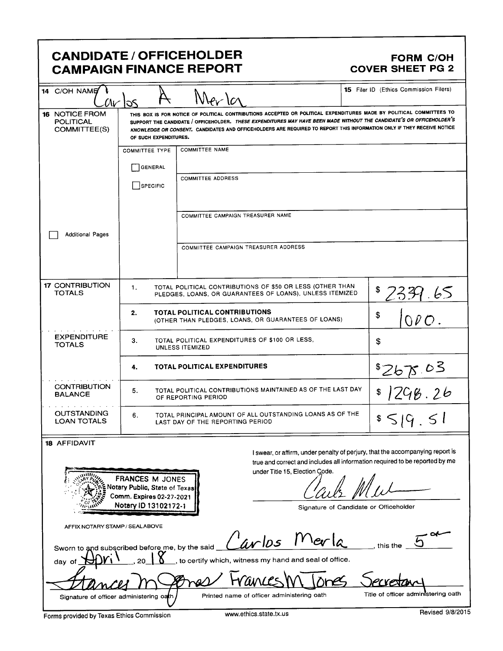# CANDIDATE / OFFICEHOLDER FORM C/OH<br>CAMPAIGN FINANCE REPORT COVER SHEET PG 2 **CAMPAIGN FINANCE REPORT**

| 14 C/OH NAME                                                                     | $\alpha$ r los                                                                                            | $\Lambda$ ar $\alpha$                                                                                                                                                                                                                                                                                                                                                   | <b>15</b> Filer ID (Ethics Commission Filers) |
|----------------------------------------------------------------------------------|-----------------------------------------------------------------------------------------------------------|-------------------------------------------------------------------------------------------------------------------------------------------------------------------------------------------------------------------------------------------------------------------------------------------------------------------------------------------------------------------------|-----------------------------------------------|
| 16 NOTICE FROM<br>POLITICAL<br>COMMITTEE(S)                                      | OF SUCH EXPENDITURES.                                                                                     | THIS BOX IS FOR NOTICE OF POLITICAL CONTRIBUTIONS ACCEPTED OR POLITICAL EXPENDITURES MADE BY POLITICAL COMMITTEES TO<br>SUPPORT THE CANDIDATE / OFFICEHOLDER. THESE EXPENDITURES MAY HAVE BEEN MADE WITHOUT THE CANDIDATE'S OR OFFICEHOLDER'S<br>KNOWLEDGE OR CONSENT. CANDIDATES AND OFFICEHOLDERS ARE REQUIRED TO REPORT THIS INFORMATION ONLY IF THEY RECEIVE NOTICE |                                               |
|                                                                                  | <b>COMMITTEE TYPE</b>                                                                                     | <b>COMMITTEE NAME</b>                                                                                                                                                                                                                                                                                                                                                   |                                               |
|                                                                                  | GENERAL                                                                                                   |                                                                                                                                                                                                                                                                                                                                                                         |                                               |
|                                                                                  | SPECIFIC                                                                                                  | <b>COMMITTEE ADDRESS</b>                                                                                                                                                                                                                                                                                                                                                |                                               |
|                                                                                  |                                                                                                           | COMMITTEE CAMPAIGN TREASURER NAME                                                                                                                                                                                                                                                                                                                                       |                                               |
| <b>Additional Pages</b>                                                          |                                                                                                           |                                                                                                                                                                                                                                                                                                                                                                         |                                               |
|                                                                                  |                                                                                                           | COMMITTEE CAMPAIGN TREASURER ADDRESS                                                                                                                                                                                                                                                                                                                                    |                                               |
| <b>17 CONTRIBUTION</b><br><b>TOTALS</b>                                          | $\mathbf{1}$ .                                                                                            | TOTAL POLITICAL CONTRIBUTIONS OF \$50 OR LESS (OTHER THAN<br>PLEDGES, LOANS, OR GUARANTEES OF LOANS), UNLESS ITEMIZED                                                                                                                                                                                                                                                   | \$<br>2331.65                                 |
|                                                                                  | 2.                                                                                                        | TOTAL POLITICAL CONTRIBUTIONS<br>(OTHER THAN PLEDGES, LOANS, OR GUARANTEES OF LOANS)                                                                                                                                                                                                                                                                                    | \$<br>000                                     |
| <b>EXPENDITURE</b><br><b>TOTALS</b>                                              | 3.                                                                                                        | TOTAL POLITICAL EXPENDITURES OF \$100 OR LESS,<br><b>UNLESS ITEMIZED</b>                                                                                                                                                                                                                                                                                                | \$                                            |
|                                                                                  | 4.                                                                                                        | TOTAL POLITICAL EXPENDITURES                                                                                                                                                                                                                                                                                                                                            | 8267005                                       |
| <b>CONTRIBUTION</b><br><b>BALANCE</b>                                            | 1298.26<br>TOTAL POLITICAL CONTRIBUTIONS MAINTAINED AS OF THE LAST DAY<br>5.<br>\$<br>OF REPORTING PERIOD |                                                                                                                                                                                                                                                                                                                                                                         |                                               |
| <b>OUTSTANDING</b><br><b>LOAN TOTALS</b>                                         | 6.                                                                                                        | TOTAL PRINCIPAL AMOUNT OF ALL OUTSTANDING LOANS AS OF THE<br>LAST DAY OF THE REPORTING PERIOD                                                                                                                                                                                                                                                                           | $s \leq  G $ $\leq  $                         |
| 18 AFFIDAVIT                                                                     |                                                                                                           |                                                                                                                                                                                                                                                                                                                                                                         |                                               |
|                                                                                  | FRANCES M JONES<br>Notary Public, State of Texas<br>Comm. Expires 02-27-2021<br>Notary ID 13102172-1      | I swear, or affirm, under penalty of perjury, that the accompanying report is<br>true and correct and includes all information required to be reported by me<br>under Title 15, Election Code.<br>Signature of Candidate or Officeholder                                                                                                                                |                                               |
| AFFIX NOTARY STAMP / SEALABOVE<br>Sworn to and subscribed before me, by the said |                                                                                                           | avlos<br>$Y$ er la                                                                                                                                                                                                                                                                                                                                                      | this the                                      |
| day of                                                                           |                                                                                                           | to certify which, witness my hand and seal of office.                                                                                                                                                                                                                                                                                                                   |                                               |
|                                                                                  |                                                                                                           |                                                                                                                                                                                                                                                                                                                                                                         |                                               |
| Signature of officer administering oath                                          |                                                                                                           | Printed name of officer administering oath                                                                                                                                                                                                                                                                                                                              | Title of officer administering oath           |
| Forms provided by Texas Ethics Commission                                        |                                                                                                           | www.ethics.state.tx.us                                                                                                                                                                                                                                                                                                                                                  | Revised 9/8/2015                              |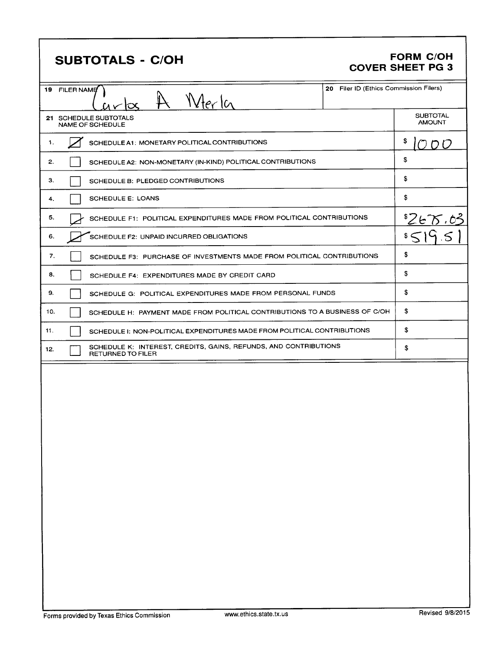# **SUBTOTALS - C/OH**

### **FORM C/OH COVER SHEET PG 3**

| 19 FILER NAME | Merl<br>Iсc                                                                           | 20 Filer ID (Ethics Commission Filers) |                                  |
|---------------|---------------------------------------------------------------------------------------|----------------------------------------|----------------------------------|
|               | 21 SCHEDULE SUBTOTALS<br>NAME OF SCHEDULE                                             |                                        | <b>SUBTOTAL</b><br><b>AMOUNT</b> |
| 1.            | SCHEDULE A1: MONETARY POLITICAL CONTRIBUTIONS                                         |                                        | \$<br>D.                         |
| 2.            | SCHEDULE A2: NON-MONETARY (IN-KIND) POLITICAL CONTRIBUTIONS                           |                                        | \$                               |
| З.            | SCHEDULE B: PLEDGED CONTRIBUTIONS                                                     |                                        | \$                               |
| 4.            | <b>SCHEDULE E: LOANS</b>                                                              |                                        | \$                               |
| 5.            | SCHEDULE F1: POLITICAL EXPENDITURES MADE FROM POLITICAL CONTRIBUTIONS                 |                                        | <u>52675.03</u>                  |
| 6.            | SCHEDULE F2: UNPAID INCURRED OBLIGATIONS                                              |                                        |                                  |
| 7.            | SCHEDULE F3: PURCHASE OF INVESTMENTS MADE FROM POLITICAL CONTRIBUTIONS                |                                        | \$                               |
| 8.            | SCHEDULE F4: EXPENDITURES MADE BY CREDIT CARD                                         |                                        | \$                               |
| 9.            | SCHEDULE G: POLITICAL EXPENDITURES MADE FROM PERSONAL FUNDS                           |                                        | \$                               |
| 10.           | SCHEDULE H: PAYMENT MADE FROM POLITICAL CONTRIBUTIONS TO A BUSINESS OF C/OH           |                                        | \$                               |
| 11.           | SCHEDULE I: NON-POLITICAL EXPENDITURES MADE FROM POLITICAL CONTRIBUTIONS              |                                        | \$                               |
| 12.           | SCHEDULE K: INTEREST, CREDITS, GAINS, REFUNDS, AND CONTRIBUTIONS<br>RETURNED TO FILER |                                        | \$                               |
|               |                                                                                       |                                        |                                  |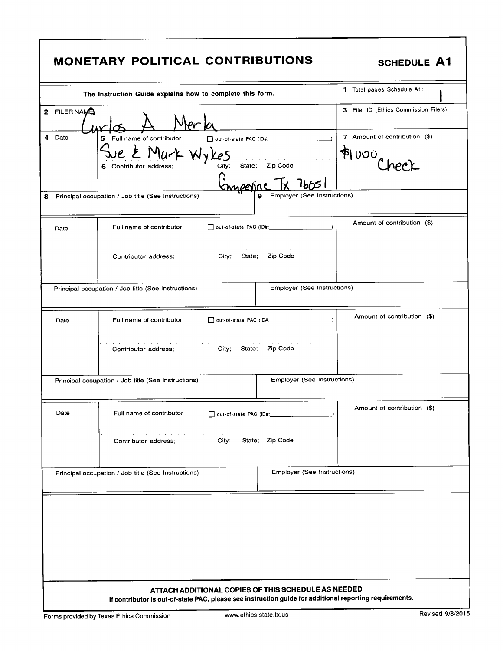| <b>MONETARY POLITICAL CONTRIBUTIONS</b>                                                                                                                                                                                                                   | <b>SCHEDULE A1</b>                    |
|-----------------------------------------------------------------------------------------------------------------------------------------------------------------------------------------------------------------------------------------------------------|---------------------------------------|
| The Instruction Guide explains how to complete this form.                                                                                                                                                                                                 | 1 Total pages Schedule A1:            |
| 2 FILER NAME<br>ler la                                                                                                                                                                                                                                    | 3 Filer ID (Ethics Commission Filers) |
| 4 Date<br>Full name of contributor<br>5                                                                                                                                                                                                                   | 7 Amount of contribution (\$)         |
| E Murk Wykes<br>City;<br>State; Zip Code<br>Contributor address;<br>6                                                                                                                                                                                     | P(000)                                |
| <u>Surperine IX</u> 76051                                                                                                                                                                                                                                 |                                       |
| Employer (See Instructions)<br>Principal occupation / Job title (See Instructions)<br>9<br>8.                                                                                                                                                             |                                       |
| Full name of contributor<br>Date                                                                                                                                                                                                                          | Amount of contribution (\$)           |
| and a strategic<br>City;<br>Zip Code<br>Contributor address;<br>State:                                                                                                                                                                                    |                                       |
| Employer (See Instructions)<br>Principal occupation / Job title (See Instructions)                                                                                                                                                                        |                                       |
| Full name of contributor<br>Date                                                                                                                                                                                                                          | Amount of contribution (\$)           |
| Zip Code<br>City;<br>State;<br>Contributor address;                                                                                                                                                                                                       |                                       |
| Employer (See Instructions)<br>Principal occupation / Job title (See Instructions)                                                                                                                                                                        |                                       |
| Date<br>Full name of contributor<br>out-of-state PAC (ID#: ___________                                                                                                                                                                                    | Amount of contribution (\$)           |
| called the car better to<br>$\mathbf{u}=(\mathbf{u}_1,\ldots,\mathbf{u}_n)$ , $\mathbf{u}_2,\ldots,\mathbf{u}_n$<br>$\alpha$ , and $\alpha$ , and $\alpha$ , and $\alpha$<br><b>Contract Contract</b><br>State; Zip Code<br>City;<br>Contributor address: |                                       |
| Employer (See Instructions)<br>Principal occupation / Job title (See Instructions)                                                                                                                                                                        |                                       |
|                                                                                                                                                                                                                                                           |                                       |
|                                                                                                                                                                                                                                                           |                                       |
|                                                                                                                                                                                                                                                           |                                       |
| ATTACH ADDITIONAL COPIES OF THIS SCHEDULE AS NEEDED<br>If contributor is out-of-state PAC, please see instruction guide for additional reporting requirements.                                                                                            |                                       |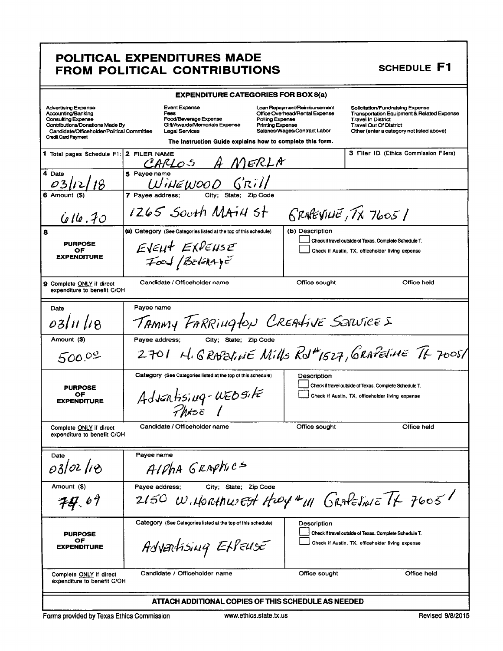## POLITICAL EXPENDITURES MADE FROM POLITICAL CONTRIBUTIONS

**SCHEDULE F1** 

| <b>EXPENDITURE CATEGORIES FOR BOX 8(a)</b>                                                                                                                                            |                                                                                                                               |                                                           |                                                                                                 |                                                                                                                                                                                           |
|---------------------------------------------------------------------------------------------------------------------------------------------------------------------------------------|-------------------------------------------------------------------------------------------------------------------------------|-----------------------------------------------------------|-------------------------------------------------------------------------------------------------|-------------------------------------------------------------------------------------------------------------------------------------------------------------------------------------------|
| <b>Advertising Expense</b><br>Accounting/Banking<br>Consulting Expense<br>Contributions/Donations Made By<br>Candidate/Officeholder/Political Committee<br><b>Credit Card Payment</b> | Event Expense<br>Fees<br>Food/Beverage Expense<br>Gift/Awards/Memorials Expense<br>Legal Services                             | Polling Expense<br><b>Printing Expense</b>                | Loan Repayment/Reimbursement<br>Office Overhead/Rental Expense<br>Salaries/Wages/Contract Labor | Solicitation/Fundraising Expense<br>Transportation Equipment & Related Expense<br><b>Travel In District</b><br><b>Travel Out Of District</b><br>Other (enter a category not listed above) |
|                                                                                                                                                                                       |                                                                                                                               | The Instruction Guide explains how to complete this form. |                                                                                                 |                                                                                                                                                                                           |
| 1 Total pages Schedule F1:                                                                                                                                                            | 2 FILER NAME<br>CARLOS A MERLA                                                                                                |                                                           |                                                                                                 | <b>3 Filer ID (Ethics Commission Filers)</b>                                                                                                                                              |
| 4 Date<br>03/12/18                                                                                                                                                                    | F Pavee name<br>WINEWOOD GRILL                                                                                                |                                                           |                                                                                                 |                                                                                                                                                                                           |
| <b>6 Amount</b>                                                                                                                                                                       | 7 Pavee address;                                                                                                              |                                                           |                                                                                                 |                                                                                                                                                                                           |
| $Q$ <i>le</i> . 70                                                                                                                                                                    | 1265 South MATH St                                                                                                            |                                                           |                                                                                                 | <b>RRAFEVILLE, TX 76051</b>                                                                                                                                                               |
| 8<br><b>PURPOSE</b><br>OF<br><b>EXPENDITURE</b>                                                                                                                                       | (a) Category (See Categories listed at the top of this schedule)<br>EVEUT EXPENSE<br>$\neq$ $\infty$ $\neq$ $\neq$ $\infty$   |                                                           | (b) Description                                                                                 | Check if travel outside of Texas. Complete Schedule T.<br>Check if Austin, TX, officeholder living expense                                                                                |
| 9 Complete ONLY if direct<br>expenditure to benefit C/OH                                                                                                                              | Candidate / Officeholder name                                                                                                 |                                                           | Office sought                                                                                   | Office held                                                                                                                                                                               |
| Payee name<br>Date<br>TAMMY FARRINGLON CREALIVE SARVICES<br>03/11/18                                                                                                                  |                                                                                                                               |                                                           |                                                                                                 |                                                                                                                                                                                           |
| Amount (\$)<br>500.02                                                                                                                                                                 | Payee address;                                                                                                                | City; State; Zip Code                                     |                                                                                                 | 2701 H. GRAPEVINE Mills Rolt1527, GRAPEVINE TH 7005/                                                                                                                                      |
| <b>PURPOSE</b><br>OF<br><b>EXPENDITURE</b>                                                                                                                                            | Category (See Categories listed at the top of this schedule)<br>Adventising-nebsite<br>$P$ <i>M</i> $\epsilon$ <sub>8</sub> / |                                                           | Description                                                                                     | Check if travel outside of Texas. Complete Schedule T.<br>Check if Austin, TX, officeholder living expense                                                                                |
| Complete ONLY if direct<br>expenditure to benefit C/OH                                                                                                                                | Candidate / Officeholder name                                                                                                 |                                                           | Office sought                                                                                   | Office held                                                                                                                                                                               |
| Date                                                                                                                                                                                  | Payee name                                                                                                                    |                                                           |                                                                                                 |                                                                                                                                                                                           |
| 03/02/18                                                                                                                                                                              | AIDHA GRAPHICS                                                                                                                |                                                           |                                                                                                 |                                                                                                                                                                                           |
| Amount (\$)                                                                                                                                                                           | Payee address;                                                                                                                | City; State; Zip Code                                     |                                                                                                 |                                                                                                                                                                                           |
| 74.69                                                                                                                                                                                 |                                                                                                                               |                                                           |                                                                                                 | 2150 W. HORTALUEST HOOD AM GRAESINE TX 7605                                                                                                                                               |
| <b>PURPOSE</b><br>OF<br><b>EXPENDITURE</b>                                                                                                                                            | Category (See Categories listed at the top of this schedule)<br>Advartising EtPENSE                                           |                                                           | Description                                                                                     | Check if travel outside of Texas. Complete Schedule T.<br>Check if Austin, TX, officeholder living expense                                                                                |
| Complete <b>ONLY</b> if direct<br>expenditure to benefit C/OH                                                                                                                         | Candidate / Officeholder name                                                                                                 |                                                           | Office sought                                                                                   | Office held                                                                                                                                                                               |
| ATTACH ADDITIONAL COPIES OF THIS SCHEDULE AS NEEDED                                                                                                                                   |                                                                                                                               |                                                           |                                                                                                 |                                                                                                                                                                                           |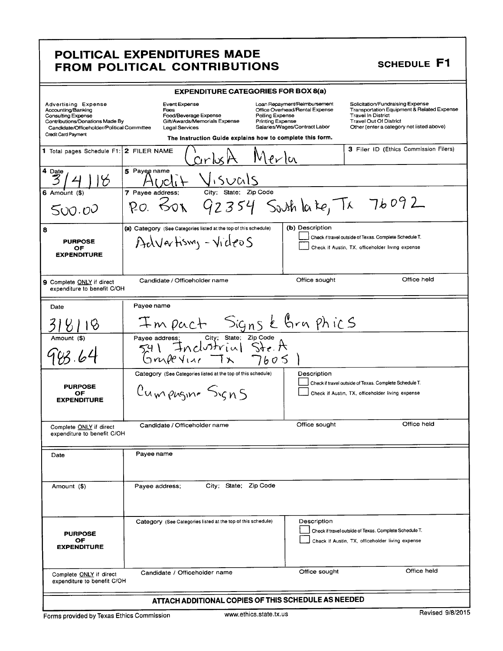# POLITICAL EXPENDITURES MADE FROM POLITICAL CONTRIBUTIONS

# **SCHEDULE F1**

| <b>EXPENDITURE CATEGORIES FOR BOX 8(a)</b>                                                                                                                                            |                                                                                                                                                                       |                                                                                                                                                                                                                                                                                                                                            |  |
|---------------------------------------------------------------------------------------------------------------------------------------------------------------------------------------|-----------------------------------------------------------------------------------------------------------------------------------------------------------------------|--------------------------------------------------------------------------------------------------------------------------------------------------------------------------------------------------------------------------------------------------------------------------------------------------------------------------------------------|--|
| <b>Advertising Expense</b><br>Accounting/Banking<br><b>Consulting Expense</b><br>Contributions/Donations Made By<br>Candidate/Officeholder/Political Committee<br>Credit Card Payment | <b>Event Expense</b><br>Fees<br>Food/Beverage Expense<br>Gift/Awards/Memorials Expense<br>Legal Services<br>The Instruction Guide explains how to complete this form. | Solicitation/Fundraising Expense<br>Loan Repayment/Reimbursement<br>Transportation Equipment & Related Expense<br>Office Overhead/Rental Expense<br>Polling Expense<br><b>Travel In District</b><br><b>Printing Expense</b><br><b>Travel Out Of District</b><br>Salaries/Wages/Contract Labor<br>Other (enter a category not listed above) |  |
| 1 Total pages Schedule F1: 2 FILER NAME                                                                                                                                               | arlx                                                                                                                                                                  | <b>3</b> Filer ID (Ethics Commission Filers)<br>Mer                                                                                                                                                                                                                                                                                        |  |
| 4 Date<br>B                                                                                                                                                                           | 5 Payee name<br>isuals                                                                                                                                                |                                                                                                                                                                                                                                                                                                                                            |  |
| $6$ Amount $(3)$<br>500.00                                                                                                                                                            | State; Zip Code<br>City:<br>7 Payee address;<br>601<br>$p_{O.}$                                                                                                       | 92354 South la te, Tx 76092                                                                                                                                                                                                                                                                                                                |  |
| 8<br><b>PURPOSE</b><br>ОF<br><b>EXPENDITURE</b>                                                                                                                                       | (a) Category (See Categories listed at the top of this schedule)<br>Advertising - Videos                                                                              | (b) Description<br>Check if travel outside of Texas. Complete Schedule T.<br>Check if Austin, TX, officeholder living expense                                                                                                                                                                                                              |  |
| 9 Complete ONLY if direct<br>expenditure to benefit C/OH                                                                                                                              | Candidate / Officeholder name                                                                                                                                         | Office held<br>Office sought                                                                                                                                                                                                                                                                                                               |  |
| Date                                                                                                                                                                                  | Payee name                                                                                                                                                            |                                                                                                                                                                                                                                                                                                                                            |  |
|                                                                                                                                                                                       | Impact Signs & Graphics                                                                                                                                               |                                                                                                                                                                                                                                                                                                                                            |  |
| Amount (\$)                                                                                                                                                                           | City; State; Zip Code<br>Payee address;<br>Inclustrial Ste A<br>GmpcV<br>7605                                                                                         |                                                                                                                                                                                                                                                                                                                                            |  |
| <b>PURPOSE</b><br>ОF<br><b>EXPENDITURE</b>                                                                                                                                            | Category (See Categories listed at the top of this schedule)<br>Cumpuging Signs                                                                                       | Description<br>Check if travel outside of Texas. Complete Schedule T.<br>Check if Austin, TX, officeholder living expense                                                                                                                                                                                                                  |  |
| Complete ONLY if direct<br>expenditure to benefit C/OH                                                                                                                                | Candidate / Officeholder name                                                                                                                                         | Office held<br>Office sought                                                                                                                                                                                                                                                                                                               |  |
| Date                                                                                                                                                                                  | Payee name                                                                                                                                                            |                                                                                                                                                                                                                                                                                                                                            |  |
| Amount (\$)                                                                                                                                                                           | City; State; Zip Code<br>Payee address;                                                                                                                               |                                                                                                                                                                                                                                                                                                                                            |  |
| <b>PURPOSE</b><br>ОF<br><b>EXPENDITURE</b>                                                                                                                                            | Category (See Categories listed at the top of this schedule)                                                                                                          | Description<br>Check if travel outside of Texas. Complete Schedule T.<br>Check if Austin, TX, officeholder living expense                                                                                                                                                                                                                  |  |
| Complete ONLY if direct<br>expenditure to benefit C/OH                                                                                                                                | Candidate / Officeholder name                                                                                                                                         | Office held<br>Office sought                                                                                                                                                                                                                                                                                                               |  |
| ATTACH ADDITIONAL COPIES OF THIS SCHEDULE AS NEEDED                                                                                                                                   |                                                                                                                                                                       |                                                                                                                                                                                                                                                                                                                                            |  |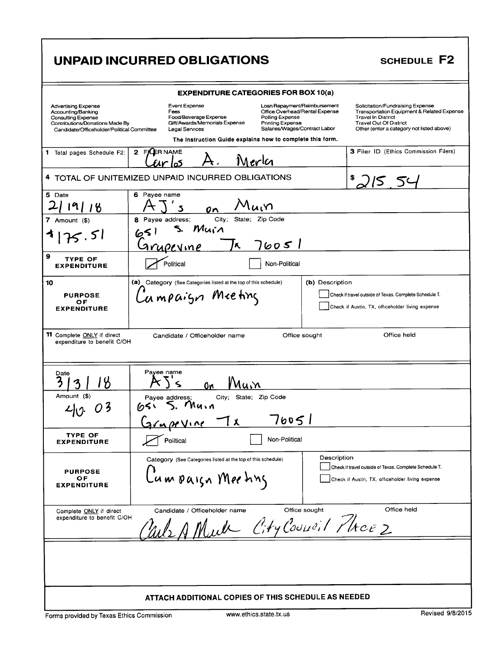|                                                                                                                                                                                                                                                                           | <b>UNPAID INCURRED OBLIGATIONS</b>                                                                                                                                                                                                                                                                       | <b>SCHEDULE F2</b>                                                                                                                                                                        |
|---------------------------------------------------------------------------------------------------------------------------------------------------------------------------------------------------------------------------------------------------------------------------|----------------------------------------------------------------------------------------------------------------------------------------------------------------------------------------------------------------------------------------------------------------------------------------------------------|-------------------------------------------------------------------------------------------------------------------------------------------------------------------------------------------|
|                                                                                                                                                                                                                                                                           | <b>EXPENDITURE CATEGORIES FOR BOX 10(a)</b>                                                                                                                                                                                                                                                              |                                                                                                                                                                                           |
| <b>Advertising Expense</b><br>Accounting/Banking<br><b>Consulting Expense</b><br>Contributions/Donations Made By<br>Candidate/Officeholder/Political Committee                                                                                                            | Event Expense<br>Loan Repayment/Reimbursement<br>Office Overhead/Rental Expense<br>Fees<br>Food/Beverage Expense<br>Polling Expense<br>Gift/Awards/Memorials Expense<br>Printing Expense<br>Salaries/Wages/Contract Labor<br>Legal Services<br>The Instruction Guide explains how to complete this form. | Solicitation/Fundraising Expense<br>Transportation Equipment & Related Expense<br><b>Travel In District</b><br><b>Travel Out Of District</b><br>Other (enter a category not listed above) |
| 1 Total pages Schedule F2:                                                                                                                                                                                                                                                | 2 FILER NAME<br>Merlci                                                                                                                                                                                                                                                                                   | <b>3 Filer ID (Ethics Commission Filers)</b>                                                                                                                                              |
|                                                                                                                                                                                                                                                                           | 4 TOTAL OF UNITEMIZED UNPAID INCURRED OBLIGATIONS                                                                                                                                                                                                                                                        |                                                                                                                                                                                           |
| 5 Date<br>9118<br>7 Amount (\$)<br>113.51                                                                                                                                                                                                                                 | 6 Payee name<br>'\uι\<br>Citv:<br>State; Zip Code<br>8 Payee address;<br>Muin<br>651                                                                                                                                                                                                                     |                                                                                                                                                                                           |
| 9<br>TYPE OF<br><b>EXPENDITURE</b>                                                                                                                                                                                                                                        | 76051<br><u>Grupevine</u><br>K,<br>Political<br>Non-Political                                                                                                                                                                                                                                            |                                                                                                                                                                                           |
| (a) Category (See Categories listed at the top of this schedule)<br>(b) Description<br>10<br>Lampaign Meeting<br>Check if travel outside of Texas. Complete Schedule T.<br><b>PURPOSE</b><br>ОF<br>Check if Austin, TX, officeholder living expense<br><b>EXPENDITURE</b> |                                                                                                                                                                                                                                                                                                          |                                                                                                                                                                                           |
| <b>11</b> Complete ONLY if direct<br>expenditure to benefit C/OH<br>Date                                                                                                                                                                                                  | Office sought<br>Candidate / Officeholder name<br>Payee name                                                                                                                                                                                                                                             | Office held                                                                                                                                                                               |
| '8<br>Amount (\$)<br>20.03                                                                                                                                                                                                                                                | <u>Nuin</u><br>٥n<br>City; State; Zip Code<br>Payee address;<br>Muin<br>651<br>76051<br>Tχ<br>$G$ rapr $V$                                                                                                                                                                                               |                                                                                                                                                                                           |
| TYPE OF<br><b>EXPENDITURE</b>                                                                                                                                                                                                                                             | Political<br>Non-Political                                                                                                                                                                                                                                                                               |                                                                                                                                                                                           |
| <b>PURPOSE</b><br>ОF<br><b>EXPENDITURE</b>                                                                                                                                                                                                                                | Description<br>Category (See Categories listed at the top of this schedule)<br>Lumpaign Meeting                                                                                                                                                                                                          | Check if travel outside of Texas. Complete Schedule T.<br>Check if Austin, TX, officeholder living expense                                                                                |
| Complete ONLY if direct<br>expenditure to benefit C/OH                                                                                                                                                                                                                    | Office sought<br>Candidate / Officeholder name<br>We A Much City Council Phrce 2                                                                                                                                                                                                                         | Office held                                                                                                                                                                               |
|                                                                                                                                                                                                                                                                           | ATTACH ADDITIONAL COPIES OF THIS SCHEDULE AS NEEDED                                                                                                                                                                                                                                                      |                                                                                                                                                                                           |
| Forms provided by Texas Ethics Commission                                                                                                                                                                                                                                 | www.ethics.state.tx.us                                                                                                                                                                                                                                                                                   | Revised 9/8/2015                                                                                                                                                                          |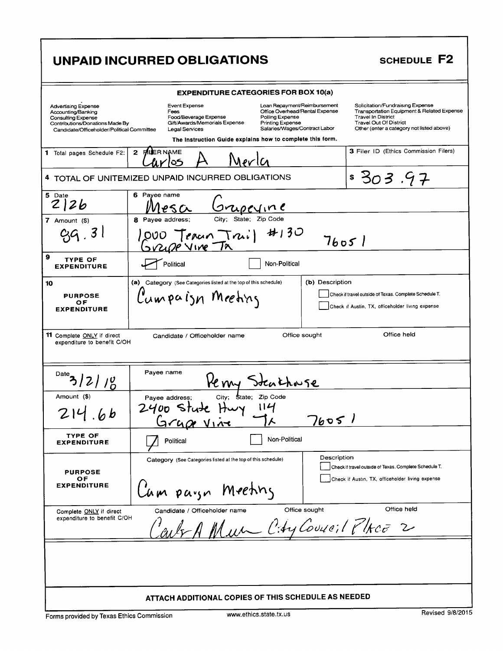|                                                                                                                                                                | UNPAID INCURRED OBLIGATIONS                                                                                                                                                                                                                                                                                     | SCHEDULE F2                                                                                                                                                                               |
|----------------------------------------------------------------------------------------------------------------------------------------------------------------|-----------------------------------------------------------------------------------------------------------------------------------------------------------------------------------------------------------------------------------------------------------------------------------------------------------------|-------------------------------------------------------------------------------------------------------------------------------------------------------------------------------------------|
|                                                                                                                                                                | <b>EXPENDITURE CATEGORIES FOR BOX 10(a)</b>                                                                                                                                                                                                                                                                     |                                                                                                                                                                                           |
| <b>Advertising Expense</b><br>Accounting/Banking<br><b>Consulting Expense</b><br>Contributions/Donations Made By<br>Candidate/Officeholder/Political Committee | Event Expense<br>Loan Repayment/Reimbursement<br>Office Overhead/Rental Expense<br>Fees<br>Polling Expense<br>Food/Beverage Expense<br>Gift/Awards/Memorials Expense<br><b>Printing Expense</b><br>Salaries/Wages/Contract Labor<br>Legal Services<br>The Instruction Guide explains how to complete this form. | Solicitation/Fundraising Expense<br>Transportation Equipment & Related Expense<br><b>Travel In District</b><br><b>Travel Out Of District</b><br>Other (enter a category not listed above) |
| 1 Total pages Schedule F2:                                                                                                                                     | $\mathbf{2}$<br><b>PJUER NAME</b><br>ర్                                                                                                                                                                                                                                                                         | 3 Filer ID (Ethics Commission Filers)                                                                                                                                                     |
|                                                                                                                                                                | 4 TOTAL OF UNITEMIZED UNPAID INCURRED OBLIGATIONS                                                                                                                                                                                                                                                               | \$303.97                                                                                                                                                                                  |
| 5 Date<br>212b<br>7 Amount $($)$<br>3 I                                                                                                                        | 6 Payee name<br><u>sripeline</u><br>State; Zip Code<br>City:<br>8 Payee address;<br>#130<br>000 Teran Truil                                                                                                                                                                                                     |                                                                                                                                                                                           |
|                                                                                                                                                                | 212P VINE TA                                                                                                                                                                                                                                                                                                    | 7605l                                                                                                                                                                                     |
| 9<br><b>TYPE OF</b><br><b>EXPENDITURE</b>                                                                                                                      | Political<br>Non-Political                                                                                                                                                                                                                                                                                      |                                                                                                                                                                                           |
| 10<br><b>PURPOSE</b><br>ОF<br><b>EXPENDITURE</b>                                                                                                               | (a) Category (See Categories listed at the top of this schedule)<br>(b) Description<br>Cumpaign Meeting                                                                                                                                                                                                         | Check if travel outside of Texas. Complete Schedule T.<br>Check if Austin, TX, officeholder living expense                                                                                |
| <b>11</b> Complete ONLY if direct<br>expenditure to benefit C/OH                                                                                               | Office sought<br>Candidate / Officeholder name                                                                                                                                                                                                                                                                  | Office held                                                                                                                                                                               |
| Date<br>/6                                                                                                                                                     | Payee name<br>Henry Steathouse                                                                                                                                                                                                                                                                                  |                                                                                                                                                                                           |
| Amount (\$)                                                                                                                                                    | City; State; Zip Code<br>Payee address;                                                                                                                                                                                                                                                                         |                                                                                                                                                                                           |
| $\mathbf b$                                                                                                                                                    | $2400$ state Hwy $114$<br>7605<br>Grape Vine                                                                                                                                                                                                                                                                    |                                                                                                                                                                                           |
| <b>TYPE OF</b><br><b>EXPENDITURE</b>                                                                                                                           | Non-Political<br>Political                                                                                                                                                                                                                                                                                      |                                                                                                                                                                                           |
| <b>PURPOSE</b><br>ОF<br><b>EXPENDITURE</b>                                                                                                                     | Description<br>Category (See Categories listed at the top of this schedule)<br>Lum paryn Meeting                                                                                                                                                                                                                | Check if travel outside of Texas. Complete Schedule T.<br>Check if Austin, TX, officeholder living expense                                                                                |
| Complete ONLY if direct<br>expenditure to benefit C/OH                                                                                                         | Office sought<br>Candidate / Officeholder name<br>out A Mun City Couse: 1 Place 2                                                                                                                                                                                                                               | Office held                                                                                                                                                                               |
|                                                                                                                                                                |                                                                                                                                                                                                                                                                                                                 |                                                                                                                                                                                           |
| ATTACH ADDITIONAL COPIES OF THIS SCHEDULE AS NEEDED                                                                                                            |                                                                                                                                                                                                                                                                                                                 |                                                                                                                                                                                           |

Forms provided by Texas Ethics Commission